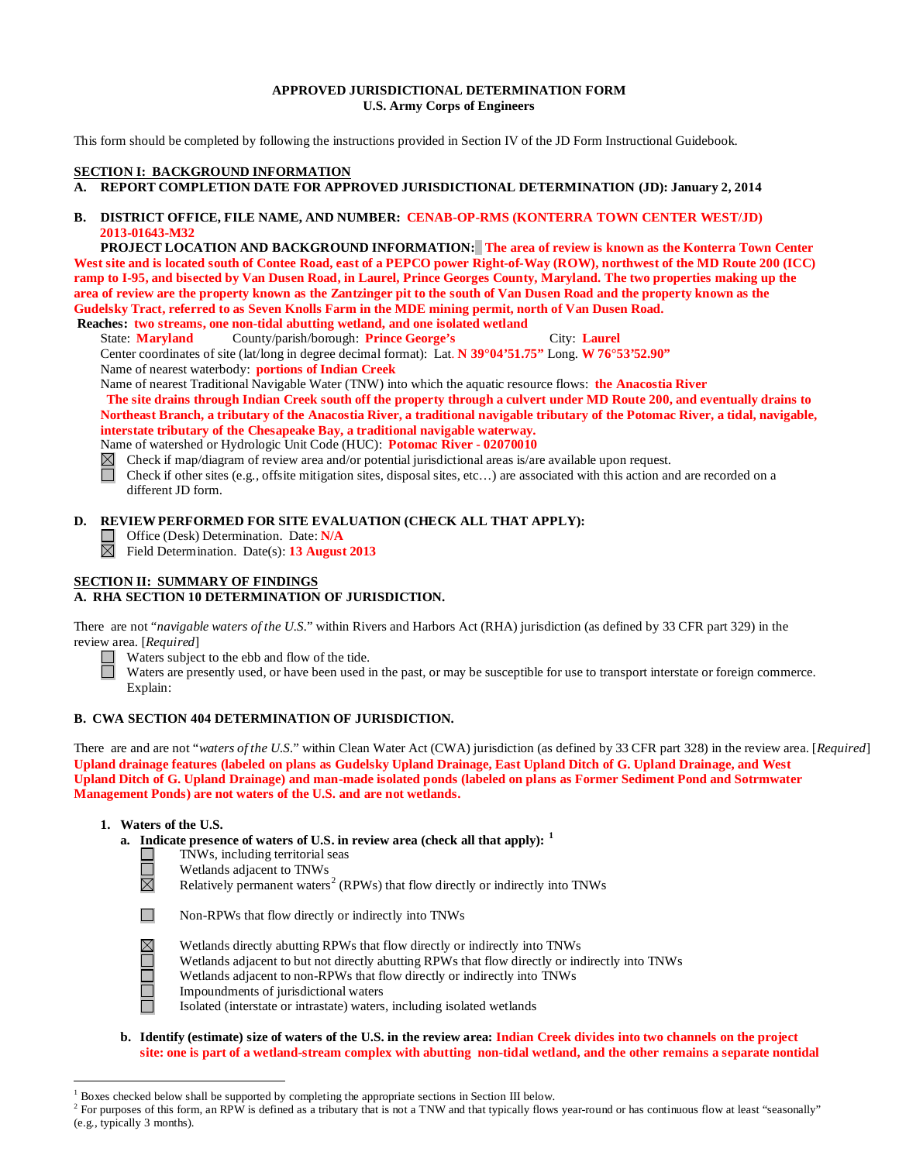### **APPROVED JURISDICTIONAL DETERMINATION FORM U.S. Army Corps of Engineers**

This form should be completed by following the instructions provided in Section IV of the JD Form Instructional Guidebook.

## **SECTION I: BACKGROUND INFORMATION**

## **A. REPORT COMPLETION DATE FOR APPROVED JURISDICTIONAL DETERMINATION (JD): January 2, 2014**

### **B. DISTRICT OFFICE, FILE NAME, AND NUMBER: CENAB-OP-RMS (KONTERRA TOWN CENTER WEST/JD) 2013-01643-M32**

 **PROJECT LOCATION AND BACKGROUND INFORMATION: The area of review is known as the Konterra Town Center West site and is located south of Contee Road, east of a PEPCO power Right-of-Way (ROW), northwest of the MD Route 200 (ICC) ramp to I-95, and bisected by Van Dusen Road, in Laurel, Prince Georges County, Maryland. The two properties making up the area of review are the property known as the Zantzinger pit to the south of Van Dusen Road and the property known as the Gudelsky Tract, referred to as Seven Knolls Farm in the MDE mining permit, north of Van Dusen Road.**

**Reaches: two streams, one non-tidal abutting wetland, and one isolated wetland**

State: **Maryland** County/parish/borough: **Prince George's** City: **Laurel** Center coordinates of site (lat/long in degree decimal format): Lat. **N 39°04'51.75"** Long. **W 76°53'52.90"**

Name of nearest waterbody: **portions of Indian Creek**

Name of nearest Traditional Navigable Water (TNW) into which the aquatic resource flows: **the Anacostia River**

**The site drains through Indian Creek south off the property through a culvert under MD Route 200, and eventually drains to Northeast Branch, a tributary of the Anacostia River, a traditional navigable tributary of the Potomac River, a tidal, navigable, interstate tributary of the Chesapeake Bay, a traditional navigable waterway.**

Name of watershed or Hydrologic Unit Code (HUC): **Potomac River - 02070010**

 $\boxtimes$ Check if map/diagram of review area and/or potential jurisdictional areas is/are available upon request.

П Check if other sites (e.g., offsite mitigation sites, disposal sites, etc…) are associated with this action and are recorded on a different JD form.

### **D. REVIEW PERFORMED FOR SITE EVALUATION (CHECK ALL THAT APPLY):**

Office (Desk) Determination. Date: **N/A**

Field Determination. Date(s): **13 August 2013**

## **SECTION II: SUMMARY OF FINDINGS**

# **A. RHA SECTION 10 DETERMINATION OF JURISDICTION.**

There are not "*navigable waters of the U.S.*" within Rivers and Harbors Act (RHA) jurisdiction (as defined by 33 CFR part 329) in the review area. [*Required*]

 $\Box$ Waters subject to the ebb and flow of the tide.

Waters are presently used, or have been used in the past, or may be susceptible for use to transport interstate or foreign commerce. Explain:

# **B. CWA SECTION 404 DETERMINATION OF JURISDICTION.**

There are and are not "*waters of the U.S.*" within Clean Water Act (CWA) jurisdiction (as defined by 33 CFR part 328) in the review area. [*Required*] **Upland drainage features (labeled on plans as Gudelsky Upland Drainage, East Upland Ditch of G. Upland Drainage, and West Upland Ditch of G. Upland Drainage) and man-made isolated ponds (labeled on plans as Former Sediment Pond and Sotrmwater Management Ponds) are not waters of the U.S. and are not wetlands.** 

#### **1. Waters of the U.S.**

 $\Box$  $\Box$  $\boxtimes$ 

- **a. Indicate presence of waters of U.S. in review area (check all that apply): [1](#page-0-0)**
	- TNWs, including territorial seas
	- Wetlands adjacent to TNWs

Relatively permanent waters<sup>[2](#page-0-1)</sup> (RPWs) that flow directly or indirectly into TNWs



- **NULLE**
- Wetlands directly abutting RPWs that flow directly or indirectly into TNWs
- Wetlands adjacent to but not directly abutting RPWs that flow directly or indirectly into TNWs
- Wetlands adjacent to non-RPWs that flow directly or indirectly into TNWs
- Impoundments of jurisdictional waters
- Isolated (interstate or intrastate) waters, including isolated wetlands
- **b. Identify (estimate) size of waters of the U.S. in the review area: Indian Creek divides into two channels on the project site: one is part of a wetland-stream complex with abutting non-tidal wetland, and the other remains a separate nontidal**

 <sup>1</sup> Boxes checked below shall be supported by completing the appropriate sections in Section III below.

<span id="page-0-1"></span><span id="page-0-0"></span><sup>&</sup>lt;sup>2</sup> For purposes of this form, an RPW is defined as a tributary that is not a TNW and that typically flows year-round or has continuous flow at least "seasonally" (e.g., typically 3 months).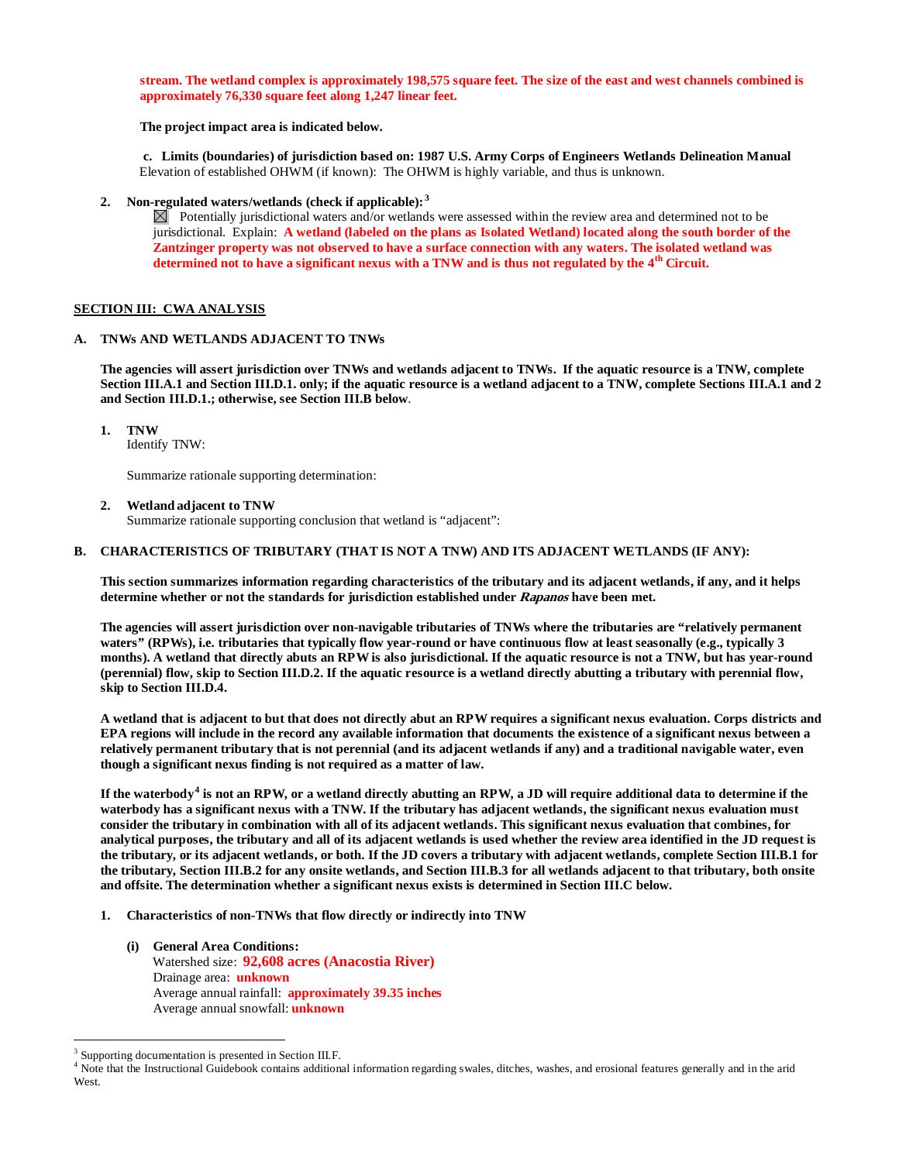**stream. The wetland complex is approximately 198,575 square feet. The size of the east and west channels combined is approximately 76,330 square feet along 1,247 linear feet.** 

**The project impact area is indicated below.**

**c. Limits (boundaries) of jurisdiction based on: 1987 U.S. Army Corps of Engineers Wetlands Delineation Manual** Elevation of established OHWM (if known): The OHWM is highly variable, and thus is unknown.

**2. Non-regulated waters/wetlands (check if applicable): [3](#page-1-0)**

 $\boxtimes$  Potentially jurisdictional waters and/or wetlands were assessed within the review area and determined not to be jurisdictional. Explain: **A wetland (labeled on the plans as Isolated Wetland) located along the south border of the Zantzinger property was not observed to have a surface connection with any waters. The isolated wetland was determined not to have a significant nexus with a TNW and is thus not regulated by the 4th Circuit.** 

#### **SECTION III: CWA ANALYSIS**

#### **A. TNWs AND WETLANDS ADJACENT TO TNWs**

**The agencies will assert jurisdiction over TNWs and wetlands adjacent to TNWs. If the aquatic resource is a TNW, complete Section III.A.1 and Section III.D.1. only; if the aquatic resource is a wetland adjacent to a TNW, complete Sections III.A.1 and 2 and Section III.D.1.; otherwise, see Section III.B below**.

**1. TNW** 

Identify TNW:

Summarize rationale supporting determination:

**2. Wetland adjacent to TNW** 

Summarize rationale supporting conclusion that wetland is "adjacent":

#### **B. CHARACTERISTICS OF TRIBUTARY (THAT IS NOT A TNW) AND ITS ADJACENT WETLANDS (IF ANY):**

**This section summarizes information regarding characteristics of the tributary and its adjacent wetlands, if any, and it helps determine whether or not the standards for jurisdiction established under Rapanos have been met.** 

**The agencies will assert jurisdiction over non-navigable tributaries of TNWs where the tributaries are "relatively permanent waters" (RPWs), i.e. tributaries that typically flow year-round or have continuous flow at least seasonally (e.g., typically 3 months). A wetland that directly abuts an RPW is also jurisdictional. If the aquatic resource is not a TNW, but has year-round (perennial) flow, skip to Section III.D.2. If the aquatic resource is a wetland directly abutting a tributary with perennial flow, skip to Section III.D.4.**

**A wetland that is adjacent to but that does not directly abut an RPW requires a significant nexus evaluation. Corps districts and EPA regions will include in the record any available information that documents the existence of a significant nexus between a relatively permanent tributary that is not perennial (and its adjacent wetlands if any) and a traditional navigable water, even though a significant nexus finding is not required as a matter of law.**

**If the waterbody[4](#page-1-1) is not an RPW, or a wetland directly abutting an RPW, a JD will require additional data to determine if the waterbody has a significant nexus with a TNW. If the tributary has adjacent wetlands, the significant nexus evaluation must consider the tributary in combination with all of its adjacent wetlands. This significant nexus evaluation that combines, for analytical purposes, the tributary and all of its adjacent wetlands is used whether the review area identified in the JD request is the tributary, or its adjacent wetlands, or both. If the JD covers a tributary with adjacent wetlands, complete Section III.B.1 for the tributary, Section III.B.2 for any onsite wetlands, and Section III.B.3 for all wetlands adjacent to that tributary, both onsite and offsite. The determination whether a significant nexus exists is determined in Section III.C below.**

- **1. Characteristics of non-TNWs that flow directly or indirectly into TNW**
	- **(i) General Area Conditions:** Watershed size: **92,608 acres (Anacostia River)** Drainage area: **unknown** Average annual rainfall: **approximately 39.35 inches** Average annual snowfall: **unknown**

<span id="page-1-0"></span><sup>&</sup>lt;sup>3</sup> Supporting documentation is presented in Section III.F.

<span id="page-1-1"></span><sup>&</sup>lt;sup>4</sup> Note that the Instructional Guidebook contains additional information regarding swales, ditches, washes, and erosional features generally and in the arid West.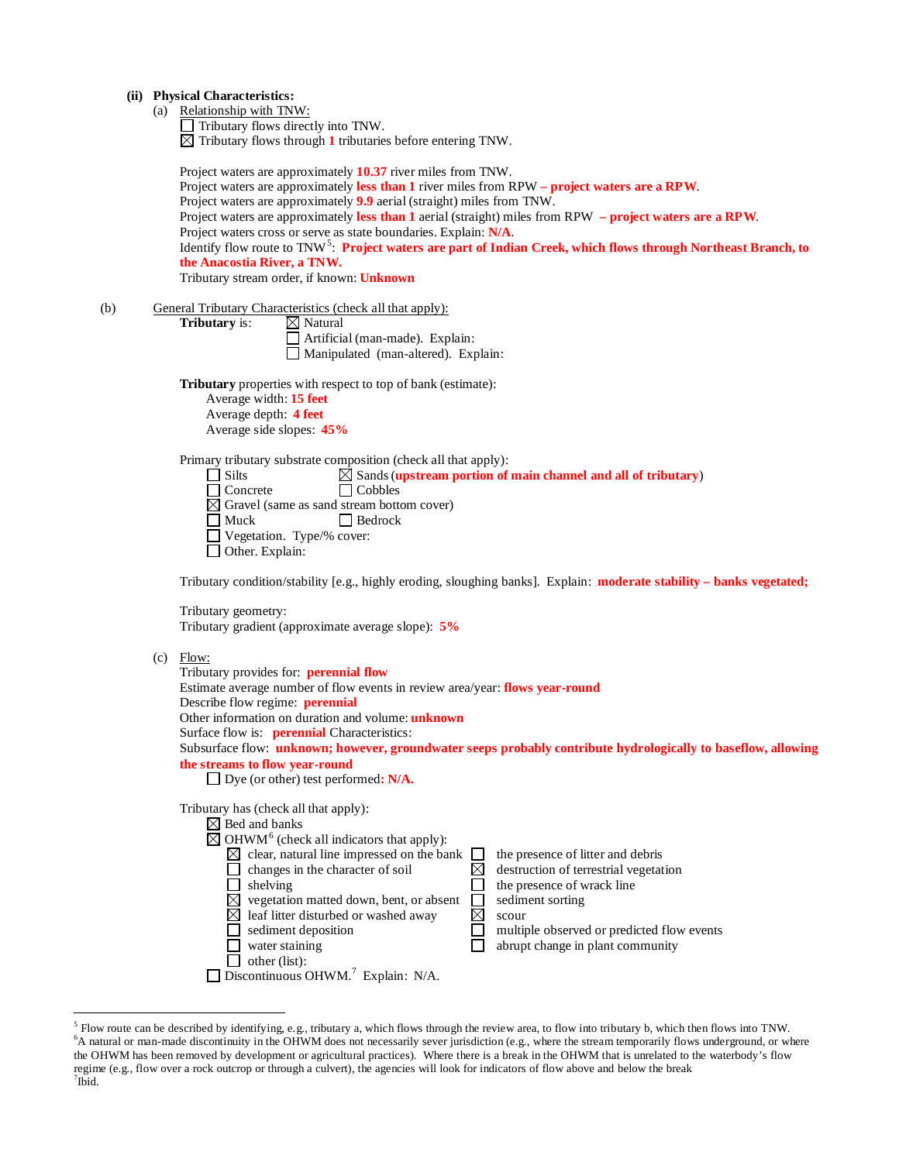## **(ii) Physical Characteristics:**

(a) Relationship with TNW:

Tributary flows directly into TNW. Tributary flows through **1** tributaries before entering TNW.

|     |                                                                                                                                              | Project waters are approximately 10.37 river miles from TNW.<br>Project waters are approximately less than 1 river miles from RPW – project waters are a RPW.<br>Project waters are approximately 9.9 aerial (straight) miles from TNW.<br>Project waters are approximately less than $1$ aerial (straight) miles from RPW $-$ project waters are a RPW.<br>Project waters cross or serve as state boundaries. Explain: N/A.<br>Identify flow route to TNW <sup>5</sup> : Project waters are part of Indian Creek, which flows through Northeast Branch, to<br>the Anacostia River, a TNW.<br>Tributary stream order, if known: Unknown                                                                                         |  |  |  |  |
|-----|----------------------------------------------------------------------------------------------------------------------------------------------|---------------------------------------------------------------------------------------------------------------------------------------------------------------------------------------------------------------------------------------------------------------------------------------------------------------------------------------------------------------------------------------------------------------------------------------------------------------------------------------------------------------------------------------------------------------------------------------------------------------------------------------------------------------------------------------------------------------------------------|--|--|--|--|
| (b) |                                                                                                                                              | General Tributary Characteristics (check all that apply):<br>$\boxtimes$ Natural<br>Tributary is:<br>$\Box$ Artificial (man-made). Explain:<br>Manipulated (man-altered). Explain:                                                                                                                                                                                                                                                                                                                                                                                                                                                                                                                                              |  |  |  |  |
|     |                                                                                                                                              | Tributary properties with respect to top of bank (estimate):<br>Average width: 15 feet<br>Average depth: 4 feet<br>Average side slopes: 45%                                                                                                                                                                                                                                                                                                                                                                                                                                                                                                                                                                                     |  |  |  |  |
|     |                                                                                                                                              | Primary tributary substrate composition (check all that apply):<br>$\Box$ Silts<br>$\boxtimes$ Sands (upstream portion of main channel and all of tributary)<br>$\Box$ Concrete<br>$\Box$ Cobbles<br>$\boxtimes$ Gravel (same as sand stream bottom cover)<br>$\Box$ Muck<br>$\Box$ Bedrock<br>Vegetation. Type/% cover:<br>$\Box$ Other. Explain:                                                                                                                                                                                                                                                                                                                                                                              |  |  |  |  |
|     | Tributary condition/stability [e.g., highly eroding, sloughing banks]. Explain: moderate stability – banks vegetated;<br>Tributary geometry: |                                                                                                                                                                                                                                                                                                                                                                                                                                                                                                                                                                                                                                                                                                                                 |  |  |  |  |
|     | (c)                                                                                                                                          | Tributary gradient (approximate average slope): 5%<br>Flow:<br>Tributary provides for: perennial flow<br>Estimate average number of flow events in review area/year: flows year-round<br>Describe flow regime: perennial<br>Other information on duration and volume: unknown<br>Surface flow is: <b>perennial</b> Characteristics:<br>Subsurface flow: unknown; however, groundwater seeps probably contribute hydrologically to baseflow, allowing<br>the streams to flow year-round<br>$\Box$ Dye (or other) test performed: N/A.                                                                                                                                                                                            |  |  |  |  |
|     |                                                                                                                                              | Tributary has (check all that apply):<br>$\boxtimes$ Bed and banks<br>$\boxtimes$ OHWM <sup>6</sup> (check all indicators that apply):<br>$\boxtimes$ clear, natural line impressed on the bank<br>the presence of litter and debris<br>$\boxtimes$<br>changes in the character of soil<br>destruction of terrestrial vegetation<br>shelving<br>the presence of wrack line<br>$\boxtimes$ vegetation matted down, bent, or absent<br>sediment sorting<br>$\boxtimes$<br>$\boxtimes$ leaf litter disturbed or washed away<br>scour<br>sediment deposition<br>multiple observed or predicted flow events<br>abrupt change in plant community<br>water staining<br>other (list):<br>Discontinuous OHWM. <sup>7</sup> Explain: N/A. |  |  |  |  |

<span id="page-2-2"></span><span id="page-2-1"></span><span id="page-2-0"></span> $\frac{5}{5}$  Flow route can be described by identifying, e.g., tributary a, which flows through the review area, to flow into tributary b, which then flows into TNW. A natural or man-made discontinuity in the OHWM does not necessarily sever jurisdiction (e.g., where the stream temporarily flows underground, or where the OHWM has been removed by development or agricultural practices). Where there is a break in the OHWM that is unrelated to the waterbody's flow regime (e.g., flow over a rock outcrop or through a culvert), the agencies will look for indicators of flow above and below the break <sup>7</sup>  $7$ Ibid.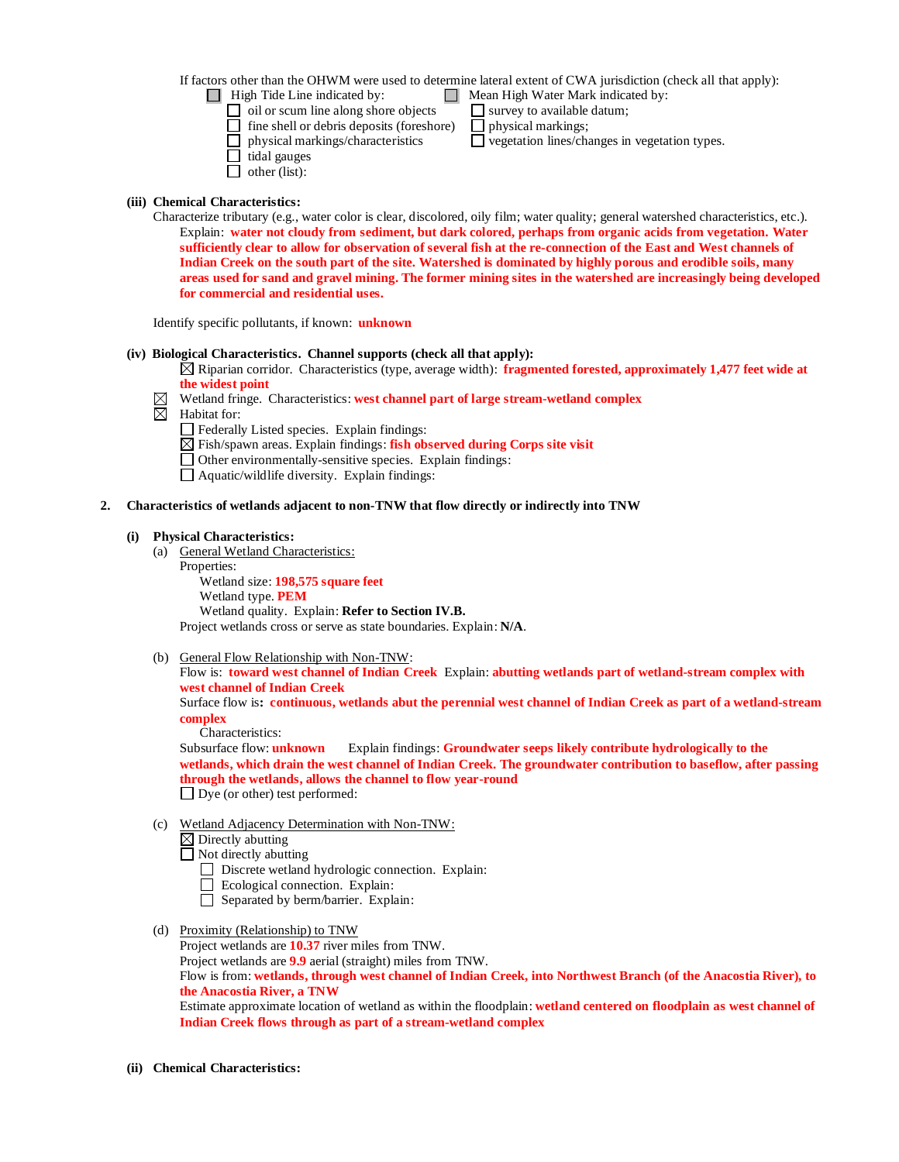If factors other than the OHWM were used to determine lateral extent of CWA jurisdiction (check all that apply):

 $\Box$  High Tide Line indicated by:  $\Box$  Mean High Water Mark indicated by:

- 
- $\Box$  oil or scum line along shore objects  $\Box$  survey to available datum;<br> $\Box$  fine shell or debris deposits (foreshore)  $\Box$  physical markings;  $\Box$  fine shell or debris deposits (foreshore)
	-
- $\hfill\Box$ physical markings/characteristics  $\hfill\Box$  vegetation lines/changes in vegetation types.
- $\Box$  tidal gauges
- $\Box$  other (list):

## **(iii) Chemical Characteristics:**

Characterize tributary (e.g., water color is clear, discolored, oily film; water quality; general watershed characteristics, etc.). Explain: **water not cloudy from sediment, but dark colored, perhaps from organic acids from vegetation. Water sufficiently clear to allow for observation of several fish at the re-connection of the East and West channels of Indian Creek on the south part of the site. Watershed is dominated by highly porous and erodible soils, many areas used for sand and gravel mining. The former mining sites in the watershed are increasingly being developed for commercial and residential uses.** 

Identify specific pollutants, if known: **unknown**

## **(iv) Biological Characteristics. Channel supports (check all that apply):**

- Riparian corridor. Characteristics (type, average width): **fragmented forested, approximately 1,477 feet wide at the widest point**
- $\boxtimes$  Wetland fringe. Characteristics: **west channel part of large stream-wetland complex**
- $\boxtimes$  Habitat for:
	- Federally Listed species. Explain findings:
	- Fish/spawn areas. Explain findings: **fish observed during Corps site visit**
	- Other environmentally-sensitive species. Explain findings:
	- $\Box$  Aquatic/wildlife diversity. Explain findings:

## **2. Characteristics of wetlands adjacent to non-TNW that flow directly or indirectly into TNW**

## **(i) Physical Characteristics:**

- (a) General Wetland Characteristics: Properties: Wetland size: **198,575 square feet** Wetland type. **PEM** Wetland quality. Explain: **Refer to Section IV.B.** Project wetlands cross or serve as state boundaries. Explain: **N/A**.
- 

(b) General Flow Relationship with Non-TNW: Flow is: **toward west channel of Indian Creek** Explain: **abutting wetlands part of wetland-stream complex with west channel of Indian Creek**

Surface flow is**: continuous, wetlands abut the perennial west channel of Indian Creek as part of a wetland-stream complex**

Characteristics:

Subsurface flow: **unknown** Explain findings: **Groundwater seeps likely contribute hydrologically to the wetlands, which drain the west channel of Indian Creek. The groundwater contribution to baseflow, after passing through the wetlands, allows the channel to flow year-round**  $\Box$  Dye (or other) test performed:

(c) Wetland Adjacency Determination with Non-TNW:

 $\boxtimes$  Directly abutting  $\Box$  Not directly abutting

- Discrete wetland hydrologic connection. Explain:
- Ecological connection. Explain:
- Separated by berm/barrier. Explain:
- (d) Proximity (Relationship) to TNW
- Project wetlands are **10.37** river miles from TNW. Project wetlands are **9.9** aerial (straight) miles from TNW. Flow is from: **wetlands, through west channel of Indian Creek, into Northwest Branch (of the Anacostia River), to the Anacostia River, a TNW** Estimate approximate location of wetland as within the floodplain: **wetland centered on floodplain as west channel of Indian Creek flows through as part of a stream-wetland complex**
- **(ii) Chemical Characteristics:**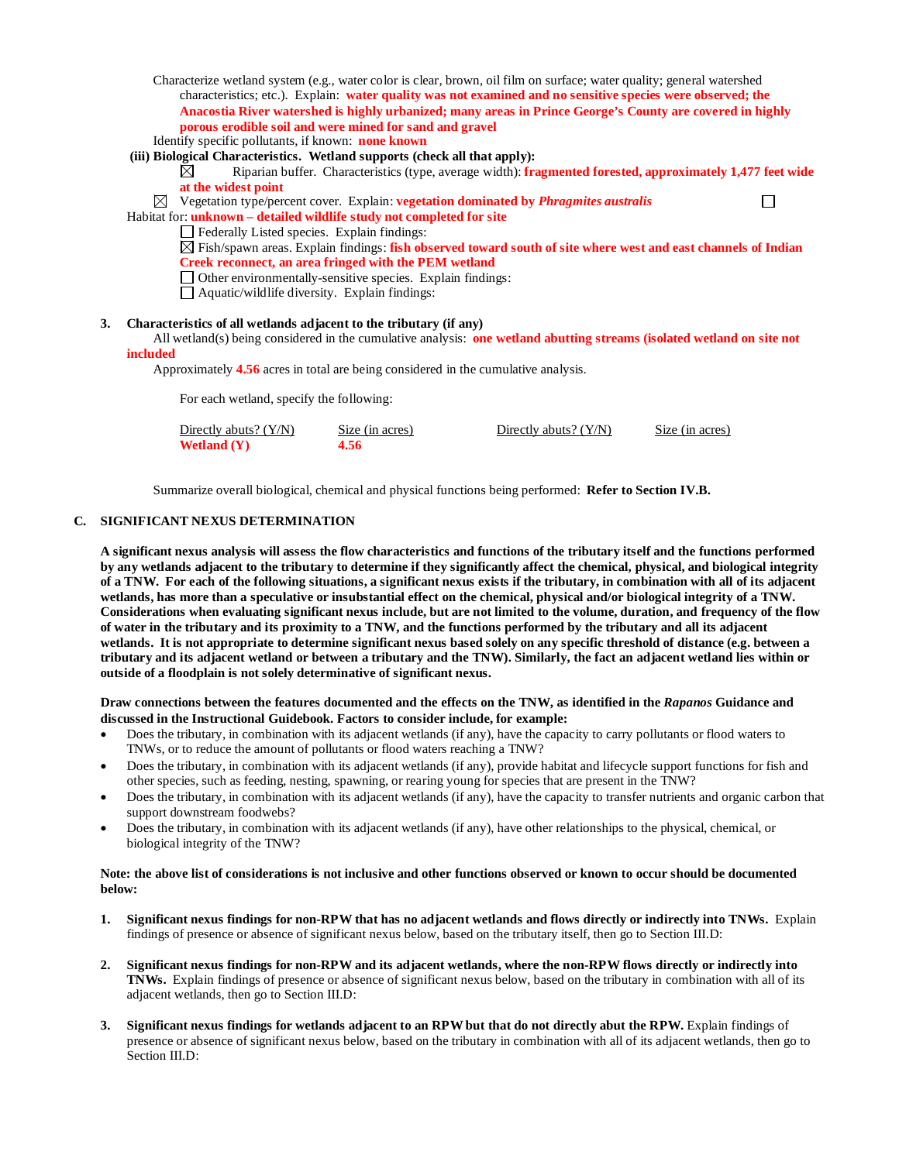Characterize wetland system (e.g., water color is clear, brown, oil film on surface; water quality; general watershed characteristics; etc.). Explain: **water quality was not examined and no sensitive species were observed; the Anacostia River watershed is highly urbanized; many areas in Prince George's County are covered in highly porous erodible soil and were mined for sand and gravel** Identify specific pollutants, if known: **none known**

## **(iii) Biological Characteristics. Wetland supports (check all that apply):**

- Riparian buffer. Characteristics (type, average width): **fragmented forested, approximately 1,477 feet wide**  ⊠ **at the widest point**  $\Box$
- ⊠ Vegetation type/percent cover. Explain: **vegetation dominated by** *Phragmites australis*

Habitat for: **unknown – detailed wildlife study not completed for site**

- Federally Listed species. Explain findings:
- Fish/spawn areas. Explain findings: **fish observed toward south of site where west and east channels of Indian Creek reconnect, an area fringed with the PEM wetland**
- $\Box$  Other environmentally-sensitive species. Explain findings:
- $\Box$  Aquatic/wildlife diversity. Explain findings:

### **3. Characteristics of all wetlands adjacent to the tributary (if any)**

All wetland(s) being considered in the cumulative analysis: **one wetland abutting streams (isolated wetland on site not included**

Approximately **4.56** acres in total are being considered in the cumulative analysis.

For each wetland, specify the following:

| Directly abuts? $(Y/N)$ | Size (in acres) | Directly abuts? $(Y/N)$ | Size (in acres) |
|-------------------------|-----------------|-------------------------|-----------------|
| Wetland $(Y)$           | 4.56            |                         |                 |

Summarize overall biological, chemical and physical functions being performed: **Refer to Section IV.B.**

## **C. SIGNIFICANT NEXUS DETERMINATION**

**A significant nexus analysis will assess the flow characteristics and functions of the tributary itself and the functions performed by any wetlands adjacent to the tributary to determine if they significantly affect the chemical, physical, and biological integrity of a TNW. For each of the following situations, a significant nexus exists if the tributary, in combination with all of its adjacent wetlands, has more than a speculative or insubstantial effect on the chemical, physical and/or biological integrity of a TNW. Considerations when evaluating significant nexus include, but are not limited to the volume, duration, and frequency of the flow of water in the tributary and its proximity to a TNW, and the functions performed by the tributary and all its adjacent wetlands. It is not appropriate to determine significant nexus based solely on any specific threshold of distance (e.g. between a tributary and its adjacent wetland or between a tributary and the TNW). Similarly, the fact an adjacent wetland lies within or outside of a floodplain is not solely determinative of significant nexus.** 

### **Draw connections between the features documented and the effects on the TNW, as identified in the** *Rapanos* **Guidance and discussed in the Instructional Guidebook. Factors to consider include, for example:**

- Does the tributary, in combination with its adjacent wetlands (if any), have the capacity to carry pollutants or flood waters to TNWs, or to reduce the amount of pollutants or flood waters reaching a TNW?
- Does the tributary, in combination with its adjacent wetlands (if any), provide habitat and lifecycle support functions for fish and other species, such as feeding, nesting, spawning, or rearing young for species that are present in the TNW?
- Does the tributary, in combination with its adjacent wetlands (if any), have the capacity to transfer nutrients and organic carbon that support downstream foodwebs?
- Does the tributary, in combination with its adjacent wetlands (if any), have other relationships to the physical, chemical, or biological integrity of the TNW?

#### **Note: the above list of considerations is not inclusive and other functions observed or known to occur should be documented below:**

- **1. Significant nexus findings for non-RPW that has no adjacent wetlands and flows directly or indirectly into TNWs.** Explain findings of presence or absence of significant nexus below, based on the tributary itself, then go to Section III.D:
- **2. Significant nexus findings for non-RPW and its adjacent wetlands, where the non-RPW flows directly or indirectly into TNWs.** Explain findings of presence or absence of significant nexus below, based on the tributary in combination with all of its adjacent wetlands, then go to Section III.D:
- **3. Significant nexus findings for wetlands adjacent to an RPW but that do not directly abut the RPW.** Explain findings of presence or absence of significant nexus below, based on the tributary in combination with all of its adjacent wetlands, then go to Section III.D: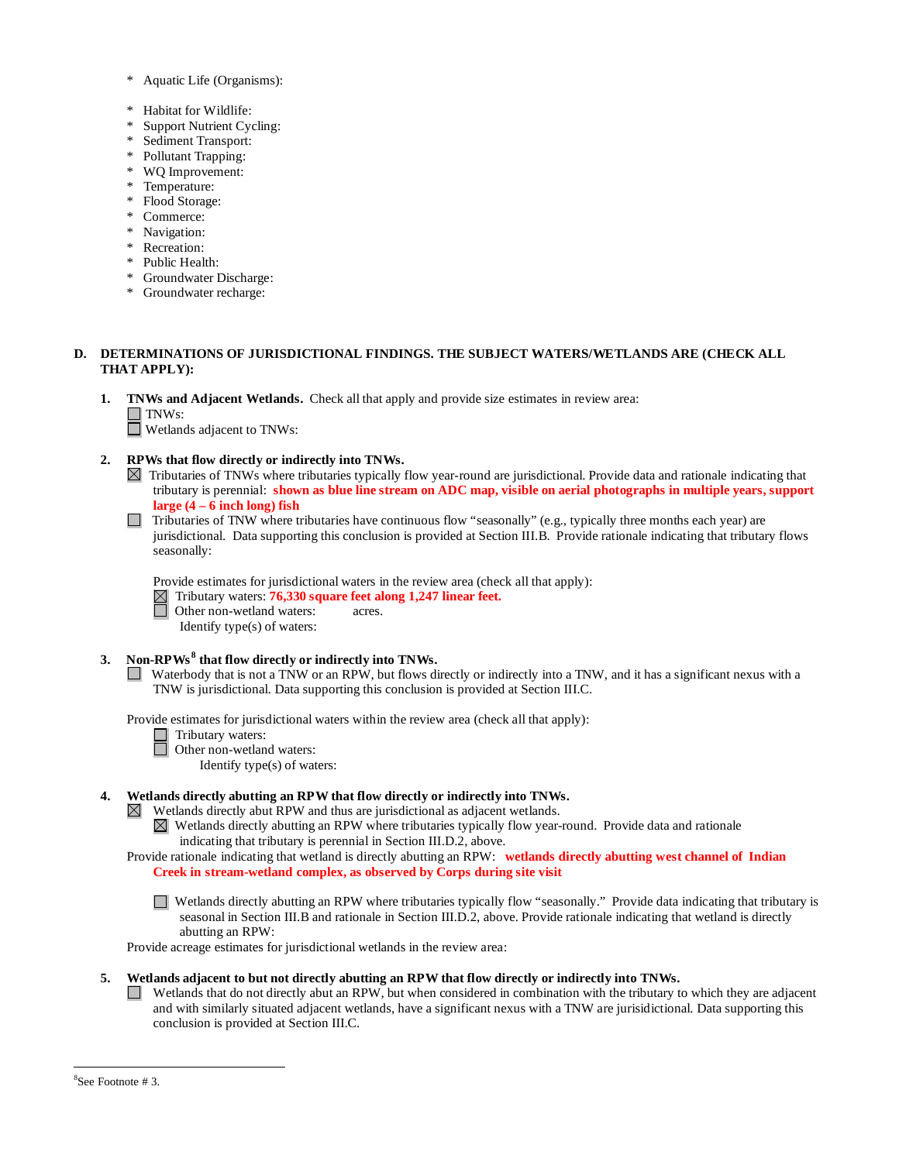- Aquatic Life (Organisms):
- \* Habitat for Wildlife:
- Support Nutrient Cycling:
- Sediment Transport:
- Pollutant Trapping:
- WQ Improvement:
- Temperature:
- Flood Storage:
- Commerce:
- Navigation:
- Recreation:
- \* Public Health:
- \* Groundwater Discharge:
- \* Groundwater recharge:

## **D. DETERMINATIONS OF JURISDICTIONAL FINDINGS. THE SUBJECT WATERS/WETLANDS ARE (CHECK ALL THAT APPLY):**

**1. TNWs and Adjacent Wetlands.** Check all that apply and provide size estimates in review area:  $\Box$ TNWs:

Wetlands adjacent to TNWs:

### **2. RPWs that flow directly or indirectly into TNWs.**

- Tributaries of TNWs where tributaries typically flow year-round are jurisdictional. Provide data and rationale indicating that tributary is perennial: **shown as blue line stream on ADC map, visible on aerial photographs in multiple years, support large (4 – 6 inch long) fish**
- Tributaries of TNW where tributaries have continuous flow "seasonally" (e.g., typically three months each year) are jurisdictional. Data supporting this conclusion is provided at Section III.B. Provide rationale indicating that tributary flows seasonally:

Provide estimates for jurisdictional waters in the review area (check all that apply):

Tributary waters: **76,330 square feet along 1,247 linear feet.**

- Other non-wetland waters: acres.
- Identify type(s) of waters:

### **3. Non-RPWs [8](#page-5-0) that flow directly or indirectly into TNWs.**

Waterbody that is not a TNW or an RPW, but flows directly or indirectly into a TNW, and it has a significant nexus with a TNW is jurisdictional. Data supporting this conclusion is provided at Section III.C.

Provide estimates for jurisdictional waters within the review area (check all that apply):

- Tributary waters: Ħ
	- Other non-wetland waters:

Identify type(s) of waters:

## **4. Wetlands directly abutting an RPW that flow directly or indirectly into TNWs.**

- Wetlands directly abut RPW and thus are jurisdictional as adjacent wetlands.  $\boxtimes$ 
	- Wetlands directly abutting an RPW where tributaries typically flow year-round. Provide data and rationale indicating that tributary is perennial in Section III.D.2, above.

## Provide rationale indicating that wetland is directly abutting an RPW: **wetlands directly abutting west channel of Indian Creek in stream-wetland complex, as observed by Corps during site visit**

Wetlands directly abutting an RPW where tributaries typically flow "seasonally." Provide data indicating that tributary is seasonal in Section III.B and rationale in Section III.D.2, above. Provide rationale indicating that wetland is directly abutting an RPW:

Provide acreage estimates for jurisdictional wetlands in the review area:

- <span id="page-5-0"></span>**5. Wetlands adjacent to but not directly abutting an RPW that flow directly or indirectly into TNWs.**
	- Wetlands that do not directly abut an RPW, but when considered in combination with the tributary to which they are adjacent  $\mathcal{L}^{\mathcal{A}}$ and with similarly situated adjacent wetlands, have a significant nexus with a TNW are jurisidictional. Data supporting this conclusion is provided at Section III.C.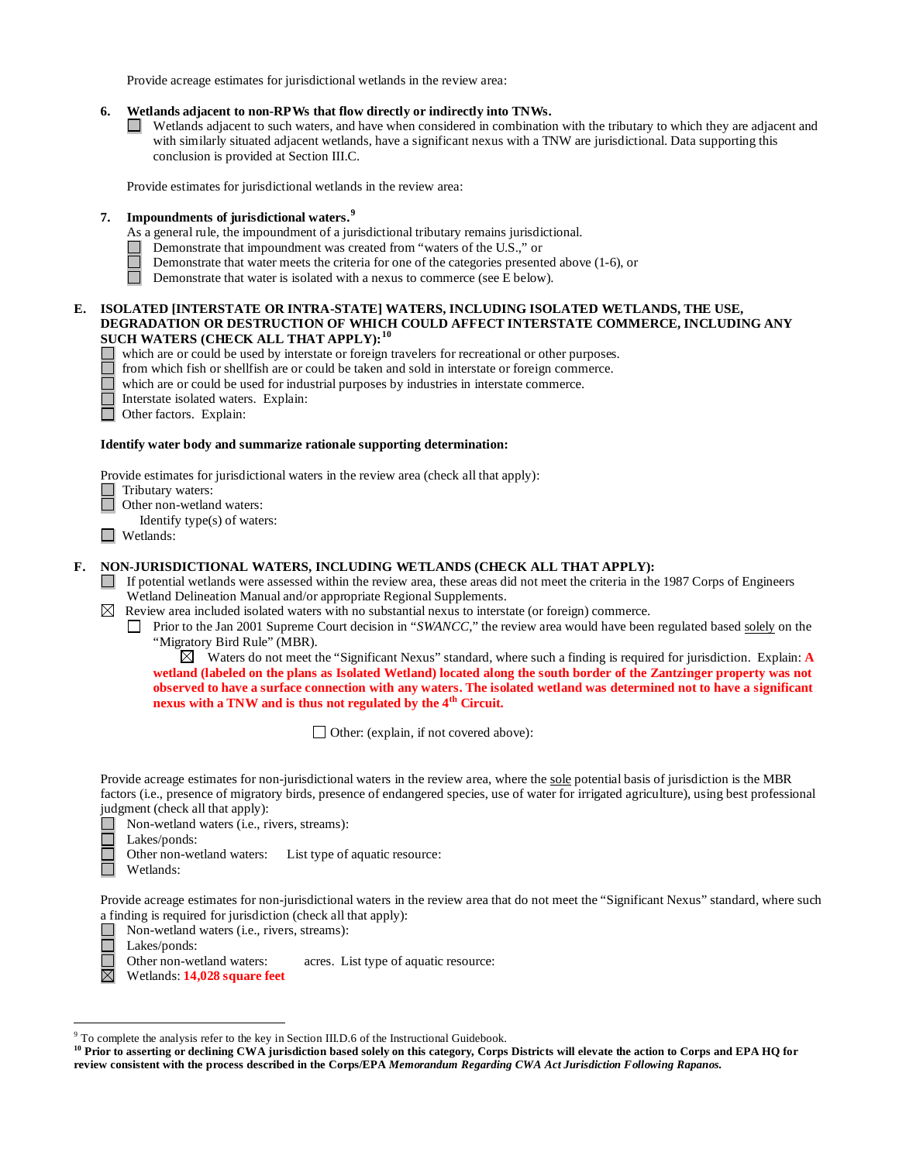Provide acreage estimates for jurisdictional wetlands in the review area:

### **6. Wetlands adjacent to non-RPWs that flow directly or indirectly into TNWs.**

 $\Box$ Wetlands adjacent to such waters, and have when considered in combination with the tributary to which they are adjacent and with similarly situated adjacent wetlands, have a significant nexus with a TNW are jurisdictional. Data supporting this conclusion is provided at Section III.C.

Provide estimates for jurisdictional wetlands in the review area:

## **7. Impoundments of jurisdictional waters.[9](#page-6-0)**

- As a general rule, the impoundment of a jurisdictional tributary remains jurisdictional.
- Demonstrate that impoundment was created from "waters of the U.S.," or
- Demonstrate that water meets the criteria for one of the categories presented above (1-6), or
- $\Box$ Demonstrate that water is isolated with a nexus to commerce (see E below).

### **E. ISOLATED [INTERSTATE OR INTRA-STATE] WATERS, INCLUDING ISOLATED WETLANDS, THE USE, DEGRADATION OR DESTRUCTION OF WHICH COULD AFFECT INTERSTATE COMMERCE, INCLUDING ANY SUCH WATERS (CHECK ALL THAT APPLY):[10](#page-6-1)**

- which are or could be used by interstate or foreign travelers for recreational or other purposes.
- from which fish or shellfish are or could be taken and sold in interstate or foreign commerce.
- which are or could be used for industrial purposes by industries in interstate commerce.
- Ē Interstate isolated waters.Explain:
	- Other factors.Explain:

#### **Identify water body and summarize rationale supporting determination:**

Provide estimates for jurisdictional waters in the review area (check all that apply):

- Tributary waters:
- Other non-wetland waters:

Identify type(s) of waters:

Wetlands:

### **F. NON-JURISDICTIONAL WATERS, INCLUDING WETLANDS (CHECK ALL THAT APPLY):**

- If potential wetlands were assessed within the review area, these areas did not meet the criteria in the 1987 Corps of Engineers Wetland Delineation Manual and/or appropriate Regional Supplements.
- $\boxtimes$  Review area included isolated waters with no substantial nexus to interstate (or foreign) commerce.
	- Prior to the Jan 2001 Supreme Court decision in "*SWANCC*," the review area would have been regulated based solely on the "Migratory Bird Rule" (MBR).

 $\boxtimes$  Waters do not meet the "Significant Nexus" standard, where such a finding is required for jurisdiction. Explain: **A wetland (labeled on the plans as Isolated Wetland) located along the south border of the Zantzinger property was not observed to have a surface connection with any waters. The isolated wetland was determined not to have a significant nexus with a TNW and is thus not regulated by the 4th Circuit.** 

□ Other: (explain, if not covered above):

Provide acreage estimates for non-jurisdictional waters in the review area, where the sole potential basis of jurisdiction is the MBR factors (i.e., presence of migratory birds, presence of endangered species, use of water for irrigated agriculture), using best professional judgment (check all that apply):

- Non-wetland waters (i.e., rivers, streams):
- $\Box$ Lakes/ponds:
	- Other non-wetland waters: List type of aquatic resource:
- П Wetlands:

Provide acreage estimates for non-jurisdictional waters in the review area that do not meet the "Significant Nexus" standard, where such a finding is required for jurisdiction (check all that apply):

- Non-wetland waters (i.e., rivers, streams): ⊔
- $\Box$
- Lakes/ponds:<br>Other non-wetland waters: acres. List type of aquatic resource:
- $\boxtimes$ Wetlands: **14,028 square feet**

<span id="page-6-0"></span> <sup>9</sup> To complete the analysis refer to the key in Section III.D.6 of the Instructional Guidebook.

<span id="page-6-1"></span><sup>&</sup>lt;sup>10</sup> Prior to asserting or declining CWA jurisdiction based solely on this category, Corps Districts will elevate the action to Corps and EPA HQ for **review consistent with the process described in the Corps/EPA** *Memorandum Regarding CWA Act Jurisdiction Following Rapanos.*